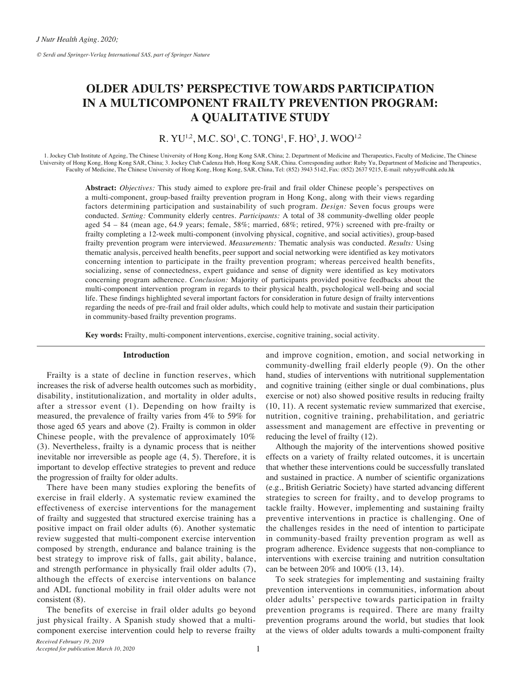*© Serdi and Springer-Verlag International SAS, part of Springer Nature*

# **OLDER ADULTS' PERSPECTIVE TOWARDS PARTICIPATION IN A MULTICOMPONENT FRAILTY PREVENTION PROGRAM: A QUALITATIVE STUDY**

# R. YU<sup>1,2</sup>, M.C. SO<sup>1</sup>, C. TONG<sup>1</sup>, F. HO<sup>3</sup>, J. WOO<sup>1,2</sup>

1. Jockey Club Institute of Ageing, The Chinese University of Hong Kong, Hong Kong SAR, China; 2. Department of Medicine and Therapeutics, Faculty of Medicine, The Chinese University of Hong Kong, Hong Kong SAR, China; 3. Jockey Club Cadenza Hub, Hong Kong SAR, China. Corresponding author: Ruby Yu, Department of Medicine and Therapeutics, Faculty of Medicine, The Chinese University of Hong Kong, Hong Kong, SAR, China, Tel: (852) 3943 5142, Fax: (852) 2637 9215, E-mail: rubyyu@cuhk.edu.hk

> **Abstract:** *Objectives:* This study aimed to explore pre-frail and frail older Chinese people's perspectives on a multi-component, group-based frailty prevention program in Hong Kong, along with their views regarding factors determining participation and sustainability of such program. *Design:* Seven focus groups were conducted. *Setting:* Community elderly centres. *Participants:* A total of 38 community-dwelling older people aged 54 – 84 (mean age, 64.9 years; female, 58%; married, 68%; retired, 97%) screened with pre-frailty or frailty completing a 12-week multi-component (involving physical, cognitive, and social activities), group-based frailty prevention program were interviewed. *Measurements:* Thematic analysis was conducted. *Results:* Using thematic analysis, perceived health benefits, peer support and social networking were identified as key motivators concerning intention to participate in the frailty prevention program; whereas perceived health benefits, socializing, sense of connectedness, expert guidance and sense of dignity were identified as key motivators concerning program adherence. *Conclusion:* Majority of participants provided positive feedbacks about the multi-component intervention program in regards to their physical health, psychological well-being and social life. These findings highlighted several important factors for consideration in future design of frailty interventions regarding the needs of pre-frail and frail older adults, which could help to motivate and sustain their participation in community-based frailty prevention programs.

**Key words:** Frailty, multi-component interventions, exercise, cognitive training, social activity.

## **Introduction**

Frailty is a state of decline in function reserves, which increases the risk of adverse health outcomes such as morbidity, disability, institutionalization, and mortality in older adults, after a stressor event (1). Depending on how frailty is measured, the prevalence of frailty varies from 4% to 59% for those aged 65 years and above (2). Frailty is common in older Chinese people, with the prevalence of approximately 10% (3). Nevertheless, frailty is a dynamic process that is neither inevitable nor irreversible as people age (4, 5). Therefore, it is important to develop effective strategies to prevent and reduce the progression of frailty for older adults.

There have been many studies exploring the benefits of exercise in frail elderly. A systematic review examined the effectiveness of exercise interventions for the management of frailty and suggested that structured exercise training has a positive impact on frail older adults (6). Another systematic review suggested that multi-component exercise intervention composed by strength, endurance and balance training is the best strategy to improve risk of falls, gait ability, balance, and strength performance in physically frail older adults (7), although the effects of exercise interventions on balance and ADL functional mobility in frail older adults were not consistent (8).

The benefits of exercise in frail older adults go beyond just physical frailty. A Spanish study showed that a multicomponent exercise intervention could help to reverse frailty and improve cognition, emotion, and social networking in community-dwelling frail elderly people (9). On the other hand, studies of interventions with nutritional supplementation and cognitive training (either single or dual combinations, plus exercise or not) also showed positive results in reducing frailty (10, 11). A recent systematic review summarized that exercise, nutrition, cognitive training, prehabilitation, and geriatric assessment and management are effective in preventing or reducing the level of frailty (12).

Although the majority of the interventions showed positive effects on a variety of frailty related outcomes, it is uncertain that whether these interventions could be successfully translated and sustained in practice. A number of scientific organizations (e.g., British Geriatric Society) have started advancing different strategies to screen for frailty, and to develop programs to tackle frailty. However, implementing and sustaining frailty preventive interventions in practice is challenging. One of the challenges resides in the need of intention to participate in community-based frailty prevention program as well as program adherence. Evidence suggests that non-compliance to interventions with exercise training and nutrition consultation can be between 20% and 100% (13, 14).

To seek strategies for implementing and sustaining frailty prevention interventions in communities, information about older adults' perspective towards participation in frailty prevention programs is required. There are many frailty prevention programs around the world, but studies that look at the views of older adults towards a multi-component frailty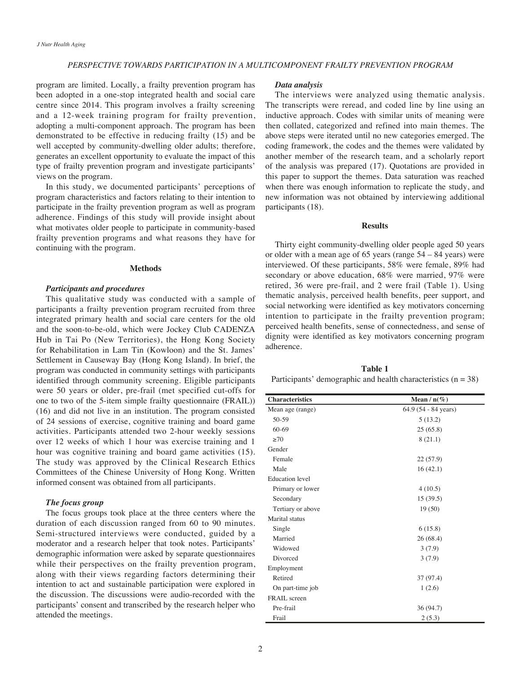# *PERSPECTIVE TOWARDS PARTICIPATION IN A MULTICOMPONENT FRAILTY PREVENTION PROGRAM*

program are limited. Locally, a frailty prevention program has been adopted in a one-stop integrated health and social care centre since 2014. This program involves a frailty screening and a 12-week training program for frailty prevention, adopting a multi-component approach. The program has been demonstrated to be effective in reducing frailty (15) and be well accepted by community-dwelling older adults; therefore, generates an excellent opportunity to evaluate the impact of this type of frailty prevention program and investigate participants' views on the program.

In this study, we documented participants' perceptions of program characteristics and factors relating to their intention to participate in the frailty prevention program as well as program adherence. Findings of this study will provide insight about what motivates older people to participate in community-based frailty prevention programs and what reasons they have for continuing with the program.

#### **Methods**

#### *Participants and procedures*

This qualitative study was conducted with a sample of participants a frailty prevention program recruited from three integrated primary health and social care centers for the old and the soon-to-be-old, which were Jockey Club CADENZA Hub in Tai Po (New Territories), the Hong Kong Society for Rehabilitation in Lam Tin (Kowloon) and the St. James' Settlement in Causeway Bay (Hong Kong Island). In brief, the program was conducted in community settings with participants identified through community screening. Eligible participants were 50 years or older, pre-frail (met specified cut-offs for one to two of the 5-item simple frailty questionnaire (FRAIL)) (16) and did not live in an institution. The program consisted of 24 sessions of exercise, cognitive training and board game activities. Participants attended two 2-hour weekly sessions over 12 weeks of which 1 hour was exercise training and 1 hour was cognitive training and board game activities (15). The study was approved by the Clinical Research Ethics Committees of the Chinese University of Hong Kong. Written informed consent was obtained from all participants.

#### *The focus group*

The focus groups took place at the three centers where the duration of each discussion ranged from 60 to 90 minutes. Semi-structured interviews were conducted, guided by a moderator and a research helper that took notes. Participants' demographic information were asked by separate questionnaires while their perspectives on the frailty prevention program, along with their views regarding factors determining their intention to act and sustainable participation were explored in the discussion. The discussions were audio-recorded with the participants' consent and transcribed by the research helper who attended the meetings.

#### *Data analysis*

The interviews were analyzed using thematic analysis. The transcripts were reread, and coded line by line using an inductive approach. Codes with similar units of meaning were then collated, categorized and refined into main themes. The above steps were iterated until no new categories emerged. The coding framework, the codes and the themes were validated by another member of the research team, and a scholarly report of the analysis was prepared (17). Quotations are provided in this paper to support the themes. Data saturation was reached when there was enough information to replicate the study, and new information was not obtained by interviewing additional participants (18).

#### **Results**

Thirty eight community-dwelling older people aged 50 years or older with a mean age of 65 years (range 54 – 84 years) were interviewed. Of these participants, 58% were female, 89% had secondary or above education, 68% were married, 97% were retired, 36 were pre-frail, and 2 were frail (Table 1). Using thematic analysis, perceived health benefits, peer support, and social networking were identified as key motivators concerning intention to participate in the frailty prevention program; perceived health benefits, sense of connectedness, and sense of dignity were identified as key motivators concerning program adherence.

**Table 1** Participants' demographic and health characteristics  $(n = 38)$ 

| <b>Characteristics</b> | Mean / $n(\%)$       |
|------------------------|----------------------|
| Mean age (range)       | 64.9 (54 - 84 years) |
| 50-59                  | 5(13.2)              |
| $60 - 69$              | 25(65.8)             |
| $\geq 70$              | 8(21.1)              |
| Gender                 |                      |
| Female                 | 22(57.9)             |
| Male                   | 16(42.1)             |
| <b>Education</b> level |                      |
| Primary or lower       | 4(10.5)              |
| Secondary              | 15(39.5)             |
| Tertiary or above      | 19(50)               |
| Marital status         |                      |
| Single                 | 6(15.8)              |
| Married                | 26(68.4)             |
| Widowed                | 3(7.9)               |
| Divorced               | 3(7.9)               |
| Employment             |                      |
| Retired                | 37 (97.4)            |
| On part-time job       | 1(2.6)               |
| FRAIL screen           |                      |
| Pre-frail              | 36(94.7)             |
| Frail                  | 2(5.3)               |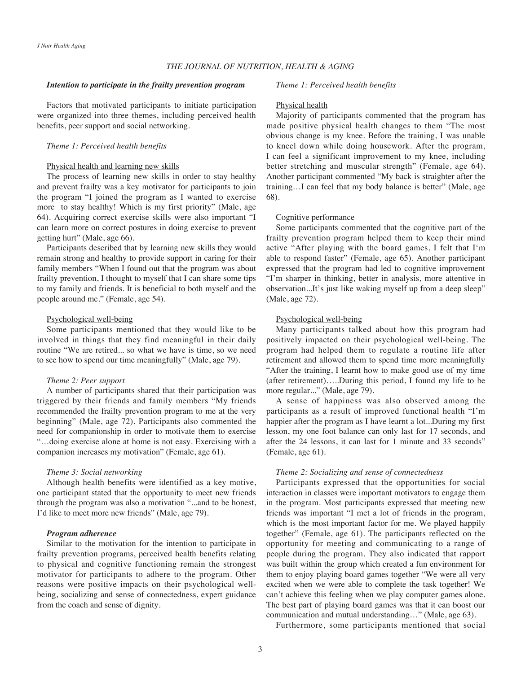#### *THE JOURNAL OF NUTRITION, HEALTH & AGING*

# *Intention to participate in the frailty prevention program*

Factors that motivated participants to initiate participation were organized into three themes, including perceived health benefits, peer support and social networking.

#### *Theme 1: Perceived health benefits*

#### Physical health and learning new skills

The process of learning new skills in order to stay healthy and prevent frailty was a key motivator for participants to join the program "I joined the program as I wanted to exercise more to stay healthy! Which is my first priority" (Male, age 64). Acquiring correct exercise skills were also important "I can learn more on correct postures in doing exercise to prevent getting hurt" (Male, age 66).

Participants described that by learning new skills they would remain strong and healthy to provide support in caring for their family members "When I found out that the program was about frailty prevention, I thought to myself that I can share some tips to my family and friends. It is beneficial to both myself and the people around me." (Female, age 54).

# Psychological well-being

Some participants mentioned that they would like to be involved in things that they find meaningful in their daily routine "We are retired... so what we have is time, so we need to see how to spend our time meaningfully" (Male, age 79).

# *Theme 2: Peer support*

A number of participants shared that their participation was triggered by their friends and family members "My friends recommended the frailty prevention program to me at the very beginning" (Male, age 72). Participants also commented the need for companionship in order to motivate them to exercise "…doing exercise alone at home is not easy. Exercising with a companion increases my motivation" (Female, age 61).

# *Theme 3: Social networking*

Although health benefits were identified as a key motive, one participant stated that the opportunity to meet new friends through the program was also a motivation "...and to be honest, I'd like to meet more new friends" (Male, age 79).

# *Program adherence*

Similar to the motivation for the intention to participate in frailty prevention programs, perceived health benefits relating to physical and cognitive functioning remain the strongest motivator for participants to adhere to the program. Other reasons were positive impacts on their psychological wellbeing, socializing and sense of connectedness, expert guidance from the coach and sense of dignity.

# *Theme 1: Perceived health benefits*

#### Physical health

Majority of participants commented that the program has made positive physical health changes to them "The most obvious change is my knee. Before the training, I was unable to kneel down while doing housework. After the program, I can feel a significant improvement to my knee, including better stretching and muscular strength" (Female, age 64). Another participant commented "My back is straighter after the training…I can feel that my body balance is better" (Male, age 68).

#### Cognitive performance

Some participants commented that the cognitive part of the frailty prevention program helped them to keep their mind active "After playing with the board games, I felt that I'm able to respond faster" (Female, age 65). Another participant expressed that the program had led to cognitive improvement "I'm sharper in thinking, better in analysis, more attentive in observation...It's just like waking myself up from a deep sleep" (Male, age 72).

# Psychological well-being

Many participants talked about how this program had positively impacted on their psychological well-being. The program had helped them to regulate a routine life after retirement and allowed them to spend time more meaningfully "After the training, I learnt how to make good use of my time (after retirement)…..During this period, I found my life to be more regular..." (Male, age 79).

A sense of happiness was also observed among the participants as a result of improved functional health "I'm happier after the program as I have learnt a lot...During my first lesson, my one foot balance can only last for 17 seconds, and after the 24 lessons, it can last for 1 minute and 33 seconds" (Female, age 61).

# *Theme 2: Socializing and sense of connectedness*

Participants expressed that the opportunities for social interaction in classes were important motivators to engage them in the program. Most participants expressed that meeting new friends was important "I met a lot of friends in the program, which is the most important factor for me. We played happily together" (Female, age 61). The participants reflected on the opportunity for meeting and communicating to a range of people during the program. They also indicated that rapport was built within the group which created a fun environment for them to enjoy playing board games together "We were all very excited when we were able to complete the task together! We can't achieve this feeling when we play computer games alone. The best part of playing board games was that it can boost our communication and mutual understanding…" (Male, age 63).

Furthermore, some participants mentioned that social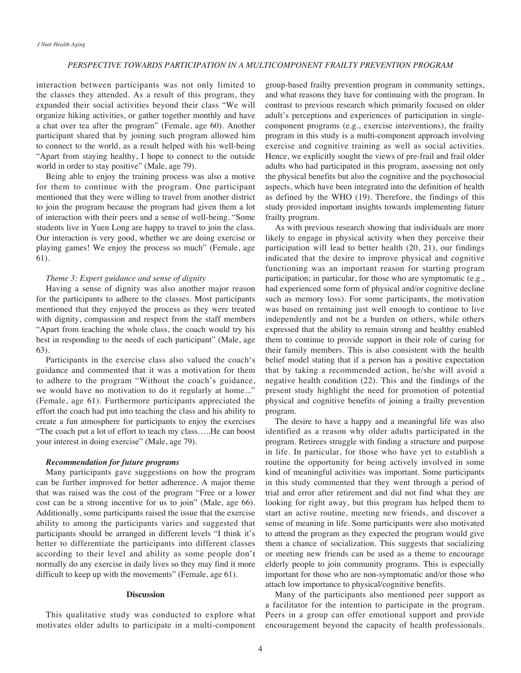# *PERSPECTIVE TOWARDS PARTICIPATION IN A MULTICOMPONENT FRAILTY PREVENTION PROGRAM*

interaction between participants was not only limited to the classes they attended. As a result of this program, they expanded their social activities beyond their class "We will organize hiking activities, or gather together monthly and have a chat over tea after the program" (Female, age 60). Another participant shared that by joining such program allowed him to connect to the world, as a result helped with his well-being "Apart from staying healthy, I hope to connect to the outside world in order to stay positive" (Male, age 79).

Being able to enjoy the training process was also a motive for them to continue with the program. One participant mentioned that they were willing to travel from another district to join the program because the program had given them a lot of interaction with their peers and a sense of well-being. "Some students live in Yuen Long are happy to travel to join the class. Our interaction is very good, whether we are doing exercise or playing games! We enjoy the process so much" (Female, age 61).

# *Theme 3: Expert guidance and sense of dignity*

Having a sense of dignity was also another major reason for the participants to adhere to the classes. Most participants mentioned that they enjoyed the process as they were treated with dignity, compassion and respect from the staff members "Apart from teaching the whole class, the coach would try his best in responding to the needs of each participant" (Male, age 63).

Participants in the exercise class also valued the coach's guidance and commented that it was a motivation for them to adhere to the program "Without the coach's guidance, we would have no motivation to do it regularly at home..." (Female, age 61). Furthermore participants appreciated the effort the coach had put into teaching the class and his ability to create a fun atmosphere for participants to enjoy the exercises "The coach put a lot of effort to teach my class…..He can boost your interest in doing exercise" (Male, age 79).

#### *Recommendation for future programs*

Many participants gave suggestions on how the program can be further improved for better adherence. A major theme that was raised was the cost of the program "Free or a lower cost can be a strong incentive for us to join" (Male, age 66). Additionally, some participants raised the issue that the exercise ability to among the participants varies and suggested that participants should be arranged in different levels "I think it's better to differentiate the participants into different classes according to their level and ability as some people don't normally do any exercise in daily lives so they may find it more difficult to keep up with the movements" (Female, age 61).

#### **Discussion**

This qualitative study was conducted to explore what motivates older adults to participate in a multi-component group-based frailty prevention program in community settings, and what reasons they have for continuing with the program. In contrast to previous research which primarily focused on older adult's perceptions and experiences of participation in singlecomponent programs (e.g., exercise interventions), the frailty program in this study is a multi-component approach involving exercise and cognitive training as well as social activities. Hence, we explicitly sought the views of pre-frail and frail older adults who had participated in this program, assessing not only the physical benefits but also the cognitive and the psychosocial aspects, which have been integrated into the definition of health as defined by the WHO (19). Therefore, the findings of this study provided important insights towards implementing future frailty program.

As with previous research showing that individuals are more likely to engage in physical activity when they perceive their participation will lead to better health (20, 21), our findings indicated that the desire to improve physical and cognitive functioning was an important reason for starting program participation; in particular, for those who are symptomatic (e.g., had experienced some form of physical and/or cognitive decline such as memory loss). For some participants, the motivation was based on remaining just well enough to continue to live independently and not be a burden on others, while others expressed that the ability to remain strong and healthy enabled them to continue to provide support in their role of caring for their family members. This is also consistent with the health belief model stating that if a person has a positive expectation that by taking a recommended action, he/she will avoid a negative health condition (22). This and the findings of the present study highlight the need for promotion of potential physical and cognitive benefits of joining a frailty prevention program.

The desire to have a happy and a meaningful life was also identified as a reason why older adults participated in the program. Retirees struggle with finding a structure and purpose in life. In particular, for those who have yet to establish a routine the opportunity for being actively involved in some kind of meaningful activities was important. Some participants in this study commented that they went through a period of trial and error after retirement and did not find what they are looking for right away, but this program has helped them to start an active routine, meeting new friends, and discover a sense of meaning in life. Some participants were also motivated to attend the program as they expected the program would give them a chance of socialization. This suggests that socializing or meeting new friends can be used as a theme to encourage elderly people to join community programs. This is especially important for those who are non-symptomatic and/or those who attach low importance to physical/cognitive benefits.

Many of the participants also mentioned peer support as a facilitator for the intention to participate in the program. Peers in a group can offer emotional support and provide encouragement beyond the capacity of health professionals.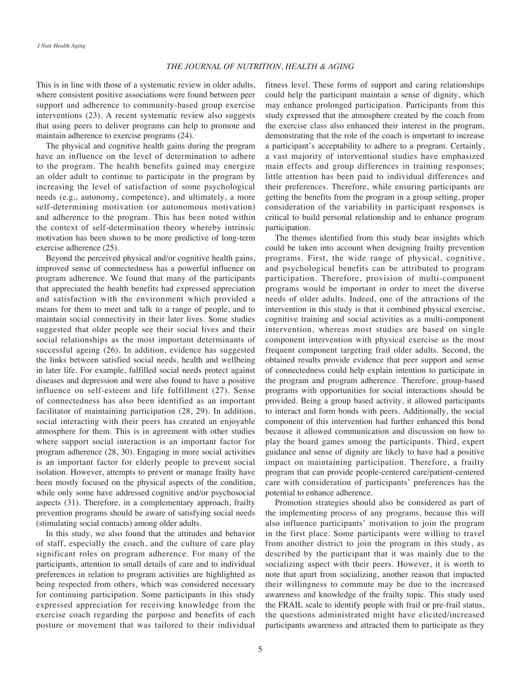This is in line with those of a systematic review in older adults, where consistent positive associations were found between peer support and adherence to community-based group exercise interventions (23). A recent systematic review also suggests that using peers to deliver programs can help to promote and maintain adherence to exercise programs (24).

The physical and cognitive health gains during the program have an influence on the level of determination to adhere to the program. The health benefits gained may energize an older adult to continue to participate in the program by increasing the level of satisfaction of some psychological needs (e.g., autonomy, competence), and ultimately, a more self-determining motivation (or autonomous motivation) and adherence to the program. This has been noted within the context of self-determination theory whereby intrinsic motivation has been shown to be more predictive of long-term exercise adherence (25).

Beyond the perceived physical and/or cognitive health gains, improved sense of connectedness has a powerful influence on program adherence. We found that many of the participants that appreciated the health benefits had expressed appreciation and satisfaction with the environment which provided a means for them to meet and talk to a range of people, and to maintain social connectivity in their later lives. Some studies suggested that older people see their social lives and their social relationships as the most important determinants of successful ageing (26). In addition, evidence has suggested the links between satisfied social needs, health and wellbeing in later life. For example, fulfilled social needs protect against diseases and depression and were also found to have a positive influence on self-esteem and life fulfillment (27). Sense of connectedness has also been identified as an important facilitator of maintaining participation (28, 29). In addition, social interacting with their peers has created an enjoyable atmosphere for them. This is in agreement with other studies where support social interaction is an important factor for program adherence (28, 30). Engaging in more social activities is an important factor for elderly people to prevent social isolation. However, attempts to prevent or manage frailty have been mostly focused on the physical aspects of the condition, while only some have addressed cognitive and/or psychosocial aspects (31). Therefore, in a complementary approach, frailty prevention programs should be aware of satisfying social needs (stimulating social contacts) among older adults.

In this study, we also found that the attitudes and behavior of staff, especially the coach, and the culture of care play significant roles on program adherence. For many of the participants, attention to small details of care and to individual preferences in relation to program activities are highlighted as being respected from others, which was considered necessary for continuing participation. Some participants in this study expressed appreciation for receiving knowledge from the exercise coach regarding the purpose and benefits of each posture or movement that was tailored to their individual

fitness level. These forms of support and caring relationships could help the participant maintain a sense of dignity, which may enhance prolonged participation. Participants from this study expressed that the atmosphere created by the coach from the exercise class also enhanced their interest in the program, demonstrating that the role of the coach is important to increase a participant's acceptability to adhere to a program. Certainly, a vast majority of interventional studies have emphasized main effects and group differences in training responses; little attention has been paid to individual differences and their preferences. Therefore, while ensuring participants are getting the benefits from the program in a group setting, proper consideration of the variability in participant responses is critical to build personal relationship and to enhance program participation.

The themes identified from this study bear insights which could be taken into account when designing frailty prevention programs. First, the wide range of physical, cognitive, and psychological benefits can be attributed to program participation. Therefore, provision of multi-component programs would be important in order to meet the diverse needs of older adults. Indeed, one of the attractions of the intervention in this study is that it combined physical exercise, cognitive training and social activities as a multi-component intervention, whereas most studies are based on single component intervention with physical exercise as the most frequent component targeting frail older adults. Second, the obtained results provide evidence that peer support and sense of connectedness could help explain intention to participate in the program and program adherence. Therefore, group-based programs with opportunities for social interactions should be provided. Being a group based activity, it allowed participants to interact and form bonds with peers. Additionally, the social component of this intervention had further enhanced this bond because it allowed communication and discussion on how to play the board games among the participants. Third, expert guidance and sense of dignity are likely to have had a positive impact on maintaining participation. Therefore, a frailty program that can provide people-centered care/patient-centered care with consideration of participants' preferences has the potential to enhance adherence.

Promotion strategies should also be considered as part of the implementing process of any programs, because this will also influence participants' motivation to join the program in the first place. Some participants were willing to travel from another district to join the program in this study, as described by the participant that it was mainly due to the socializing aspect with their peers. However, it is worth to note that apart from socializing, another reason that impacted their willingness to commute may be due to the increased awareness and knowledge of the frailty topic. This study used the FRAIL scale to identify people with frail or pre-frail status, the questions administrated might have elicited/increased participants awareness and attracted them to participate as they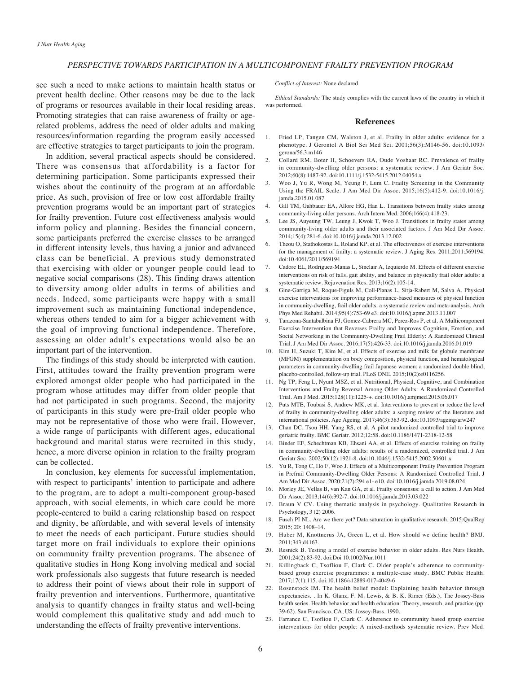## *PERSPECTIVE TOWARDS PARTICIPATION IN A MULTICOMPONENT FRAILTY PREVENTION PROGRAM*

see such a need to make actions to maintain health status or prevent health decline. Other reasons may be due to the lack of programs or resources available in their local residing areas. Promoting strategies that can raise awareness of frailty or agerelated problems, address the need of older adults and making resources/information regarding the program easily accessed are effective strategies to target participants to join the program.

In addition, several practical aspects should be considered. There was consensus that affordability is a factor for determining participation. Some participants expressed their wishes about the continuity of the program at an affordable price. As such, provision of free or low cost affordable frailty prevention programs would be an important part of strategies for frailty prevention. Future cost effectiveness analysis would inform policy and planning. Besides the financial concern, some participants preferred the exercise classes to be arranged in different intensity levels, thus having a junior and advanced class can be beneficial. A previous study demonstrated that exercising with older or younger people could lead to negative social comparisons (28). This finding draws attention to diversity among older adults in terms of abilities and needs. Indeed, some participants were happy with a small improvement such as maintaining functional independence, whereas others tended to aim for a bigger achievement with the goal of improving functional independence. Therefore, assessing an older adult's expectations would also be an important part of the intervention.

The findings of this study should be interpreted with caution. First, attitudes toward the frailty prevention program were explored amongst older people who had participated in the program whose attitudes may differ from older people that had not participated in such programs. Second, the majority of participants in this study were pre-frail older people who may not be representative of those who were frail. However, a wide range of participants with different ages, educational background and marital status were recruited in this study, hence, a more diverse opinion in relation to the frailty program can be collected.

In conclusion, key elements for successful implementation, with respect to participants' intention to participate and adhere to the program, are to adopt a multi-component group-based approach, with social elements, in which care could be more people-centered to build a caring relationship based on respect and dignity, be affordable, and with several levels of intensity to meet the needs of each participant. Future studies should target more on frail individuals to explore their opinions on community frailty prevention programs. The absence of qualitative studies in Hong Kong involving medical and social work professionals also suggests that future research is needed to address their point of views about their role in support of frailty prevention and interventions. Furthermore, quantitative analysis to quantify changes in frailty status and well-being would complement this qualitative study and add much to understanding the effects of frailty preventive interventions.

*Conflict of Interest:* None declared.

*Ethical Standards:* The study complies with the current laws of the country in which it was performed.

#### **References**

- 1. Fried LP, Tangen CM, Walston J, et al. Frailty in older adults: evidence for a phenotype. J Gerontol A Biol Sci Med Sci. 2001;56(3):M146-56. doi:10.1093/ gerona/56.3.m146
- 2. Collard RM, Boter H, Schoevers RA, Oude Voshaar RC. Prevalence of frailty in community-dwelling older persons: a systematic review. J Am Geriatr Soc. 2012;60(8):1487-92. doi:10.1111/j.1532-5415.2012.04054.x
- 3. Woo J, Yu R, Wong M, Yeung F, Lum C. Frailty Screening in the Community Using the FRAIL Scale. J Am Med Dir Assoc. 2015;16(5):412-9. doi:10.1016/j. jamda.2015.01.087
- 4. Gill TM, Gahbauer EA, Allore HG, Han L. Transitions between frailty states among community-living older persons. Arch Intern Med. 2006;166(4):418-23.
- 5. Lee JS, Auyeung TW, Leung J, Kwok T, Woo J. Transitions in frailty states among community-living older adults and their associated factors. J Am Med Dir Assoc. 2014;15(4):281-6. doi:10.1016/j.jamda.2013.12.002
- Theou O, Stathokostas L, Roland KP, et al. The effectiveness of exercise interventions for the management of frailty: a systematic review. J Aging Res. 2011;2011:569194. doi:10.4061/2011/569194
- 7. Cadore EL, Rodriguez-Manas L, Sinclair A, Izquierdo M. Effects of different exercise interventions on risk of falls, gait ability, and balance in physically frail older adults: a systematic review. Rejuvenation Res. 2013;16(2):105-14.
- 8. Gine-Garriga M, Roque-Figuls M, Coll-Planas L, Sitja-Rabert M, Salva A. Physical exercise interventions for improving performance-based measures of physical function in community-dwelling, frail older adults: a systematic review and meta-analysis. Arch Phys Med Rehabil. 2014;95(4):753-69 e3. doi:10.1016/j.apmr.2013.11.007
- 9. Tarazona-Santabalbina FJ, Gomez-Cabrera MC, Perez-Ros P, et al. A Multicomponent Exercise Intervention that Reverses Frailty and Improves Cognition, Emotion, and Social Networking in the Community-Dwelling Frail Elderly: A Randomized Clinical Trial. J Am Med Dir Assoc. 2016;17(5):426-33. doi:10.1016/j.jamda.2016.01.019
- 10. Kim H, Suzuki T, Kim M, et al. Effects of exercise and milk fat globule membrane (MFGM) supplementation on body composition, physical function, and hematological parameters in community-dwelling frail Japanese women: a randomized double blind, placebo-controlled, follow-up trial. PLoS ONE. 2015;10(2):e0116256.
- 11. Ng TP, Feng L, Nyunt MSZ, et al. Nutritional, Physical, Cognitive, and Combination Interventions and Frailty Reversal Among Older Adults: A Randomized Controlled Trial. Am J Med. 2015;128(11):1225-+. doi:10.1016/j.amjmed.2015.06.017
- 12. Puts MTE, Toubasi S, Andrew MK, et al. Interventions to prevent or reduce the level of frailty in community-dwelling older adults: a scoping review of the literature and international policies. Age Ageing. 2017;46(3):383-92. doi:10.1093/ageing/afw247
- 13. Chan DC, Tsou HH, Yang RS, et al. A pilot randomized controlled trial to improve geriatric frailty. BMC Geriatr. 2012;12:58. doi:10.1186/1471-2318-12-58
- 14. Binder EF, Schechtman KB, Ehsani AA, et al. Effects of exercise training on frailty in community-dwelling older adults: results of a randomized, controlled trial. J Am Geriatr Soc. 2002;50(12):1921-8. doi:10.1046/j.1532-5415.2002.50601.x
- 15. Yu R, Tong C, Ho F, Woo J. Effects of a Multicomponent Frailty Prevention Program in Prefrail Community-Dwelling Older Persons: A Randomized Controlled Trial. J Am Med Dir Assoc. 2020;21(2):294 e1- e10. doi:10.1016/j.jamda.2019.08.024
- 16. Morley JE, Vellas B, van Kan GA, et al. Frailty consensus: a call to action. J Am Med Dir Assoc. 2013;14(6):392-7. doi:10.1016/j.jamda.2013.03.022
- 17. Braun V CV. Using thematic analysis in psychology. Qualitative Research in Psychology, 3 (2) 2006.
- 18. Fusch PI NL. Are we there yet? Data saturation in qualitative research. 2015:QualRep 2015; 20: 1408–14.
- 19. Huber M, Knottnerus JA, Green L, et al. How should we define health? BMJ. 2011;343:d4163.
- 20. Resnick B. Testing a model of exercise behavior in older adults. Res Nurs Health. 2001;24(2):83-92. doi:Doi 10.1002/Nur.1011
- 21. Killingback C, Tsofliou F, Clark C. Older people's adherence to communitybased group exercise programmes: a multiple-case study. BMC Public Health. 2017;17(1):115. doi:10.1186/s12889-017-4049-6
- 22. Rosenstock IM. The health belief model: Explaining health behavior through expectancies. . In K. Glanz, F. M. Lewis, & B. K. Rimer (Eds.), The Jossey-Bass health series. Health behavior and health education: Theory, research, and practice (pp. 39-62). San Francisco, CA, US: Jossey-Bass. 1990.
- 23. Farrance C, Tsofliou F, Clark C. Adherence to community based group exercise interventions for older people: A mixed-methods systematic review. Prev Med.